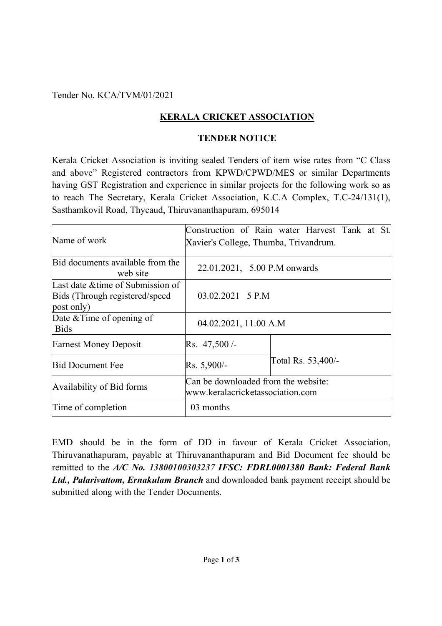Tender No. KCA/TVM/01/2021

## **KERALA CRICKET ASSOCIATION**

## **TENDER NOTICE**

Kerala Cricket Association is inviting sealed Tenders of item wise rates from "C Class and above" Registered contractors from KPWD/CPWD/MES or similar Departments having GST Registration and experience in similar projects for the following work so as to reach The Secretary, Kerala Cricket Association, K.C.A Complex, T.C-24/131(1), Sasthamkovil Road, Thycaud, Thiruvananthapuram, 695014

| Name of work                                                                      | Xavier's College, Thumba, Trivandrum.                                   | Construction of Rain water Harvest Tank at St. |
|-----------------------------------------------------------------------------------|-------------------------------------------------------------------------|------------------------------------------------|
| Bid documents available from the<br>web site                                      | 22.01.2021, 5.00 P.M onwards                                            |                                                |
| Last date & time of Submission of<br>Bids (Through registered/speed<br>post only) | $03.02.2021 \quad 5 \quad P.M$                                          |                                                |
| Date $&$ Time of opening of<br><b>Bids</b>                                        | 04.02.2021, 11.00 A.M                                                   |                                                |
| <b>Earnest Money Deposit</b>                                                      | Rs. 47,500/                                                             |                                                |
| <b>Bid Document Fee</b>                                                           | $Rs. 5,900/-$                                                           | Total Rs. 53,400/-                             |
| Availability of Bid forms                                                         | Can be downloaded from the website:<br>www.keralacricketassociation.com |                                                |
| Time of completion                                                                | 03 months                                                               |                                                |

EMD should be in the form of DD in favour of Kerala Cricket Association, Thiruvanathapuram, payable at Thiruvananthapuram and Bid Document fee should be remitted to the *A/C No. 13800100303237 IFSC: FDRL0001380 Bank: Federal Bank Ltd., Palarivattom, Ernakulam Branch* and downloaded bank payment receipt should be submitted along with the Tender Documents.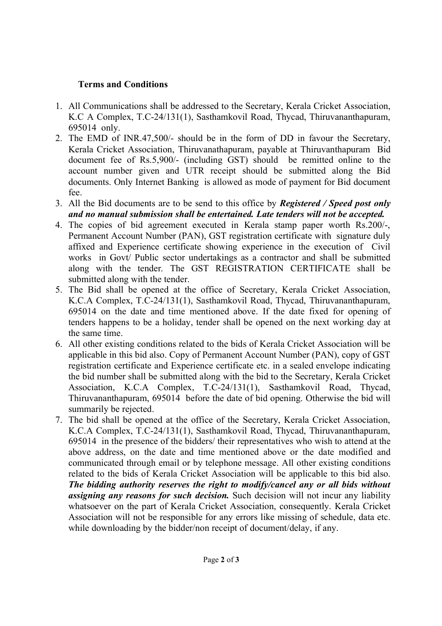## **Terms and Conditions**

- 1. All Communications shall be addressed to the Secretary, Kerala Cricket Association, K.C A Complex, T.C-24/131(1), Sasthamkovil Road, Thycad, Thiruvananthapuram, 695014 only.
- 2. The EMD of INR.47,500/- should be in the form of DD in favour the Secretary, Kerala Cricket Association, Thiruvanathapuram, payable at Thiruvanthapuram Bid document fee of Rs.5,900/- (including GST) should be remitted online to the account number given and UTR receipt should be submitted along the Bid documents. Only Internet Banking is allowed as mode of payment for Bid document fee.
- 3. All the Bid documents are to be send to this office by *Registered / Speed post only and no manual submission shall be entertained. Late tenders will not be accepted.*
- 4. The copies of bid agreement executed in Kerala stamp paper worth Rs.200/-, Permanent Account Number (PAN), GST registration certificate with signature duly affixed and Experience certificate showing experience in the execution of Civil works in Govt/ Public sector undertakings as a contractor and shall be submitted along with the tender. The GST REGISTRATION CERTIFICATE shall be submitted along with the tender.
- 5. The Bid shall be opened at the office of Secretary, Kerala Cricket Association, K.C.A Complex, T.C-24/131(1), Sasthamkovil Road, Thycad, Thiruvananthapuram, 695014 on the date and time mentioned above. If the date fixed for opening of tenders happens to be a holiday, tender shall be opened on the next working day at the same time.
- 6. All other existing conditions related to the bids of Kerala Cricket Association will be applicable in this bid also. Copy of Permanent Account Number (PAN), copy of GST registration certificate and Experience certificate etc. in a sealed envelope indicating the bid number shall be submitted along with the bid to the Secretary, Kerala Cricket Association, K.C.A Complex, T.C-24/131(1), Sasthamkovil Road, Thycad, Thiruvananthapuram, 695014 before the date of bid opening. Otherwise the bid will summarily be rejected.
- 7. The bid shall be opened at the office of the Secretary, Kerala Cricket Association, K.C.A Complex, T.C-24/131(1), Sasthamkovil Road, Thycad, Thiruvananthapuram, 695014 in the presence of the bidders/ their representatives who wish to attend at the above address, on the date and time mentioned above or the date modified and communicated through email or by telephone message. All other existing conditions related to the bids of Kerala Cricket Association will be applicable to this bid also. *The bidding authority reserves the right to modify/cancel any or all bids without assigning any reasons for such decision.* Such decision will not incur any liability whatsoever on the part of Kerala Cricket Association, consequently. Kerala Cricket Association will not be responsible for any errors like missing of schedule, data etc. while downloading by the bidder/non receipt of document/delay, if any.